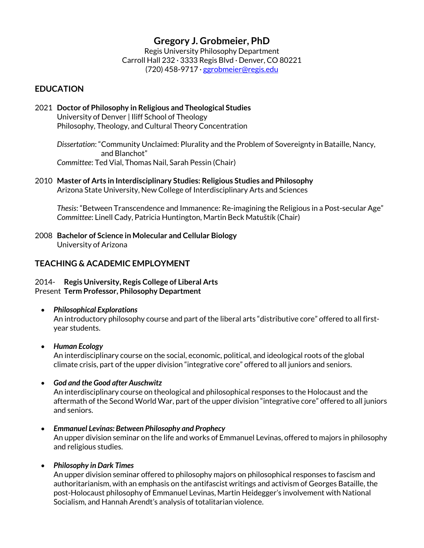# **Gregory J. Grobmeier, PhD**

Regis University Philosophy Department Carroll Hall 232 · 3333 Regis Blvd · Denver, CO 80221 (720) 458-9717 · ggrobmeier@regis.edu

## **EDUCATION**

2021 **Doctor of Philosophy in Religious and Theological Studies** University of Denver | Iliff School of Theology Philosophy, Theology, and Cultural Theory Concentration

 *Dissertation*: "Community Unclaimed: Plurality and the Problem of Sovereignty in Bataille, Nancy, and Blanchot"  *Committee*: Ted Vial, Thomas Nail, Sarah Pessin (Chair)

2010 **Master of Arts in Interdisciplinary Studies: Religious Studies and Philosophy** Arizona State University, New College of Interdisciplinary Arts and Sciences

 *Thesis*: "Between Transcendence and Immanence: Re-imagining the Religious in a Post-secular Age"  *Committee*: Linell Cady, Patricia Huntington, Martin Beck Matuštík (Chair)

2008 **Bachelor of Science in Molecular and Cellular Biology** University of Arizona

## **TEACHING & ACADEMIC EMPLOYMENT**

### 2014- **Regis University, Regis College of Liberal Arts** Present **Term Professor, Philosophy Department**

• *Philosophical Explorations*

An introductory philosophy course and part of the liberal arts "distributive core" offered to all firstyear students.

### • *Human Ecology*

An interdisciplinary course on the social, economic, political, and ideological roots of the global climate crisis, part of the upper division "integrative core" offered to all juniors and seniors.

### • *God and the Good after Auschwitz*

An interdisciplinary course on theological and philosophical responses to the Holocaust and the aftermath of the Second World War, part of the upper division "integrative core" offered to all juniors and seniors.

• *Emmanuel Levinas: Between Philosophy and Prophecy*

An upper division seminar on the life and works of Emmanuel Levinas, offered to majors in philosophy and religious studies.

### • *Philosophy in Dark Times*

An upper division seminar offered to philosophy majors on philosophical responses to fascism and authoritarianism, with an emphasis on the antifascist writings and activism of Georges Bataille, the post-Holocaust philosophy of Emmanuel Levinas, Martin Heidegger's involvement with National Socialism, and Hannah Arendt's analysis of totalitarian violence.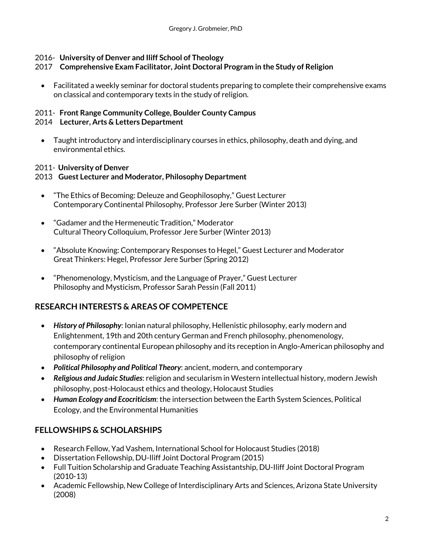### 2016- **University of Denver and Iliff School of Theology**

### 2017 **Comprehensive Exam Facilitator, Joint Doctoral Program in the Study of Religion**

• Facilitated a weekly seminar for doctoral students preparing to complete their comprehensive exams on classical and contemporary texts in the study of religion.

# 2011- **Front Range Community College, Boulder County Campus**

### 2014 **Lecturer, Arts & Letters Department**

• Taught introductory and interdisciplinary courses in ethics, philosophy, death and dying, and environmental ethics.

## 2011- **University of Denver**

## 2013 **Guest Lecturer and Moderator, Philosophy Department**

- "The Ethics of Becoming: Deleuze and Geophilosophy," Guest Lecturer Contemporary Continental Philosophy, Professor Jere Surber (Winter 2013)
- "Gadamer and the Hermeneutic Tradition," Moderator Cultural Theory Colloquium, Professor Jere Surber (Winter 2013)
- "Absolute Knowing: Contemporary Responses to Hegel," Guest Lecturer and Moderator Great Thinkers: Hegel, Professor Jere Surber (Spring 2012)
- "Phenomenology, Mysticism, and the Language of Prayer," Guest Lecturer Philosophy and Mysticism, Professor Sarah Pessin (Fall 2011)

## **RESEARCH INTERESTS & AREAS OF COMPETENCE**

- *History of Philosophy*: Ionian natural philosophy, Hellenistic philosophy, early modern and Enlightenment, 19th and 20th century German and French philosophy, phenomenology, contemporary continental European philosophy and its reception in Anglo-American philosophy and philosophy of religion
- *Political Philosophy and Political Theory*: ancient, modern, and contemporary
- *Religious and Judaic Studies*: religion and secularism in Western intellectual history, modern Jewish philosophy, post-Holocaust ethics and theology, Holocaust Studies
- *Human Ecology and Ecocriticism*: the intersection between the Earth System Sciences, Political Ecology, and the Environmental Humanities

# **FELLOWSHIPS & SCHOLARSHIPS**

- Research Fellow, Yad Vashem, International School for Holocaust Studies (2018)
- Dissertation Fellowship, DU-Iliff Joint Doctoral Program (2015)
- Full Tuition Scholarship and Graduate Teaching Assistantship, DU-Iliff Joint Doctoral Program (2010-13)
- Academic Fellowship, New College of Interdisciplinary Arts and Sciences, Arizona State University (2008)